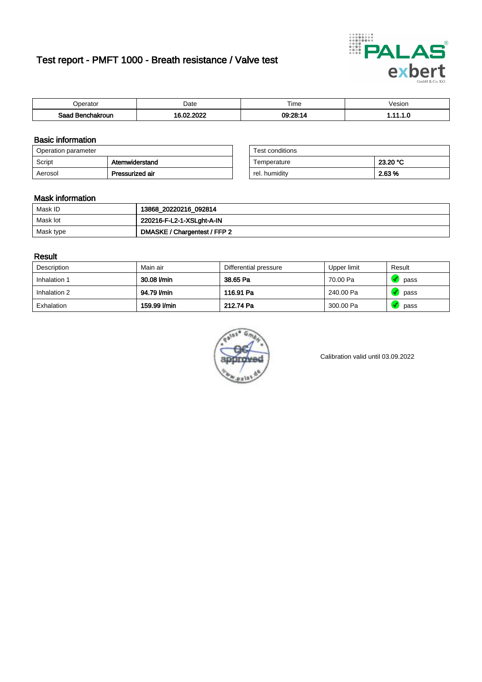# Test report - PMFT 1000 - Breath resistance / Valve test



| <b>'</b> perator                | Date | $- \cdot$<br><b>Time</b> | esion |
|---------------------------------|------|--------------------------|-------|
| Saad<br><b>\chakroun</b><br>. . | 000  | 09:28:1                  | .     |

### Basic information

| Operation parameter |                 | Test conditions |          |
|---------------------|-----------------|-----------------|----------|
| Script              | Atemwiderstand  | Temperature     | 23.20 °C |
| Aerosol             | Pressurized air | rel. humidity   | 2.63 %   |

| Test conditions |          |
|-----------------|----------|
| Temperature     | 23.20 °C |
| rel. humidity   | 2.63%    |

#### Mask information

| Mask ID   | 13868_20220216_092814        |
|-----------|------------------------------|
| Mask lot  | 220216-F-L2-1-XSLght-A-IN    |
| Mask type | DMASKE / Chargentest / FFP 2 |

### Result

| Description  | Main air     | Differential pressure | Upper limit | Result |
|--------------|--------------|-----------------------|-------------|--------|
| Inhalation 1 | 30.08 l/min  | 38.65 Pa              | 70.00 Pa    | pass   |
| Inhalation 2 | 94.79 l/min  | 116.91 Pa             | 240.00 Pa   | pass   |
| Exhalation   | 159.99 l/min | 212.74 Pa             | 300.00 Pa   | pass   |



Calibration valid until 03.09.2022